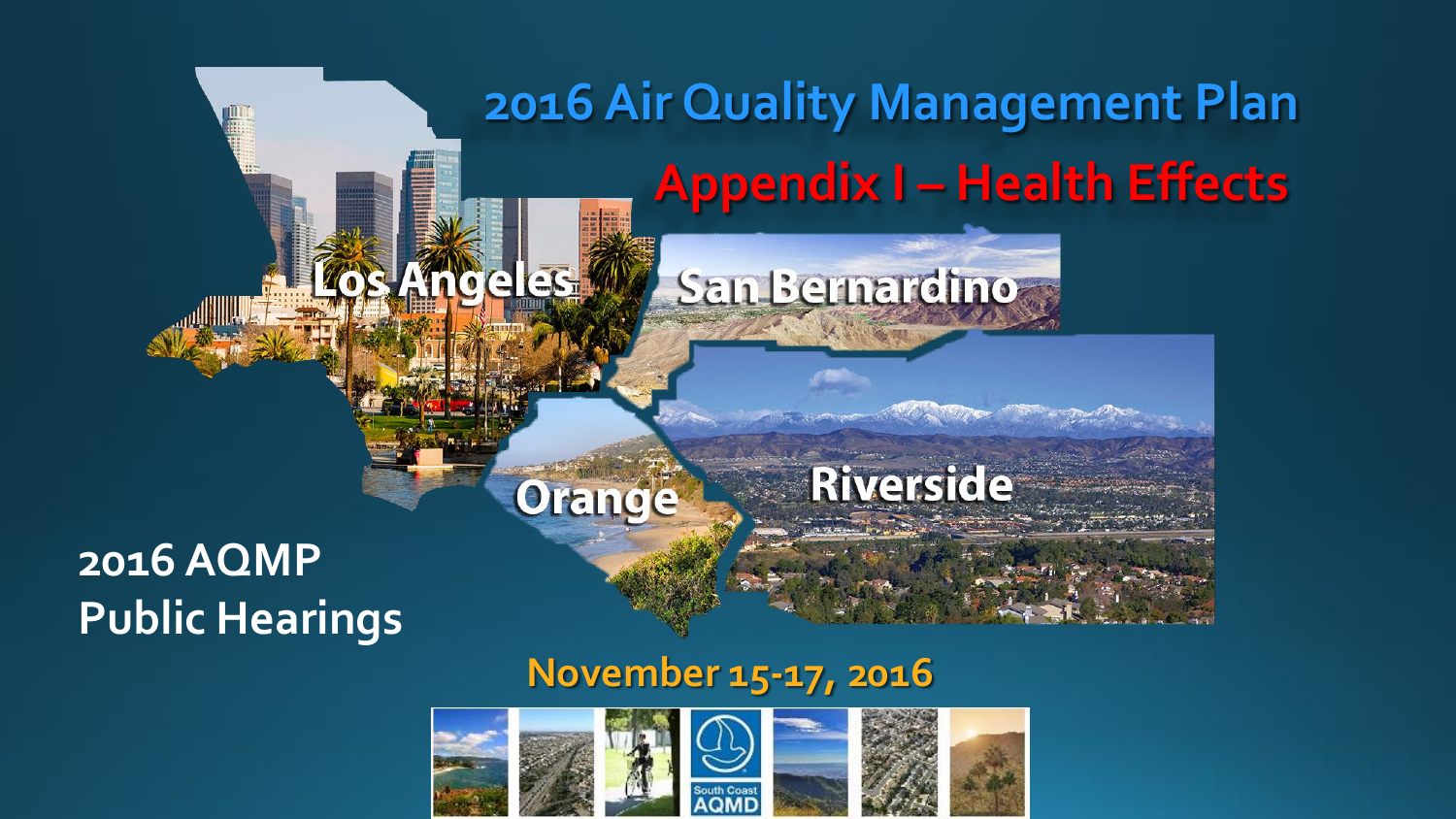# **2016 Air Quality Management Plan Appendix I – Health Effects Angeles!** San Bernardino **Riverside** Orange

#### **November 15-17, 2016**



### **2016 AQMP Public Hearings**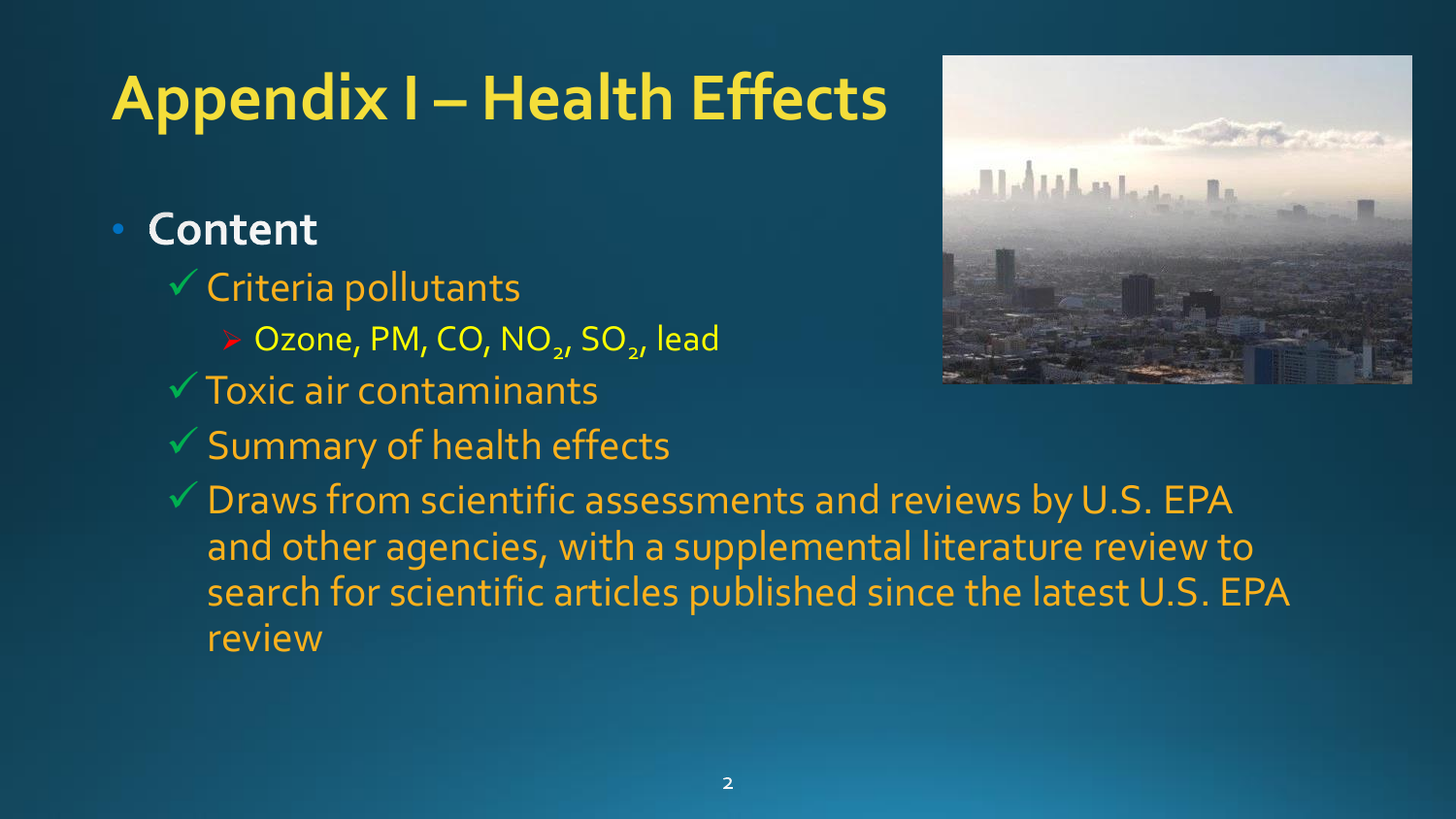## **Appendix I – Health Effects**

### Content

- $\checkmark$  Criteria pollutants
	- > Ozone, PM, CO, NO<sub>2</sub>, SO<sub>2</sub>, lead
- $\sqrt{T}$ Oxic air contaminants
- $\checkmark$  Summary of health effects
- $\checkmark$  Draws from scientific assessments and reviews by U.S. EPA and other agencies, with a supplemental literature review to search for scientific articles published since the latest U.S. EPA review

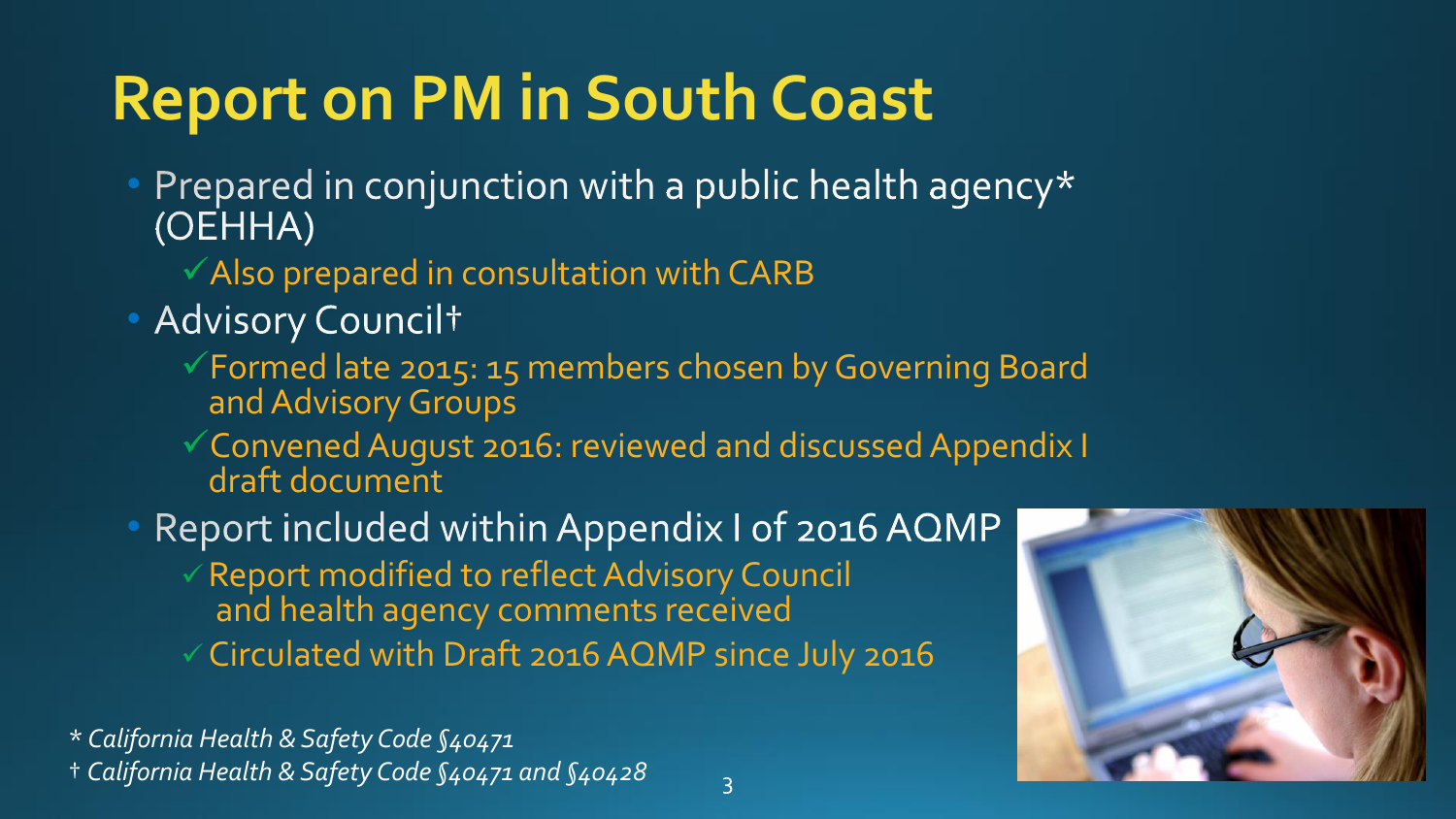### **Report on PM in South Coast**

- Prepared in conjunction with a public health agency\* (OEHHA)
	- $\checkmark$  Also prepared in consultation with CARB
- · Advisory Councilt
	- Formed late 2015: 15 members chosen by Governing Board and Advisory Groups
	- Convened August 2016: reviewed and discussed Appendix I draft document
- Report included within Appendix I of 2016 AQMP
	- $\checkmark$  Report modified to reflect Advisory Council and health agency comments received Circulated with Draft 2016 AQMP since July 2016

\* *California Health & Safety Code §40471* † *California Health & Safety Code §40471 and §40428*

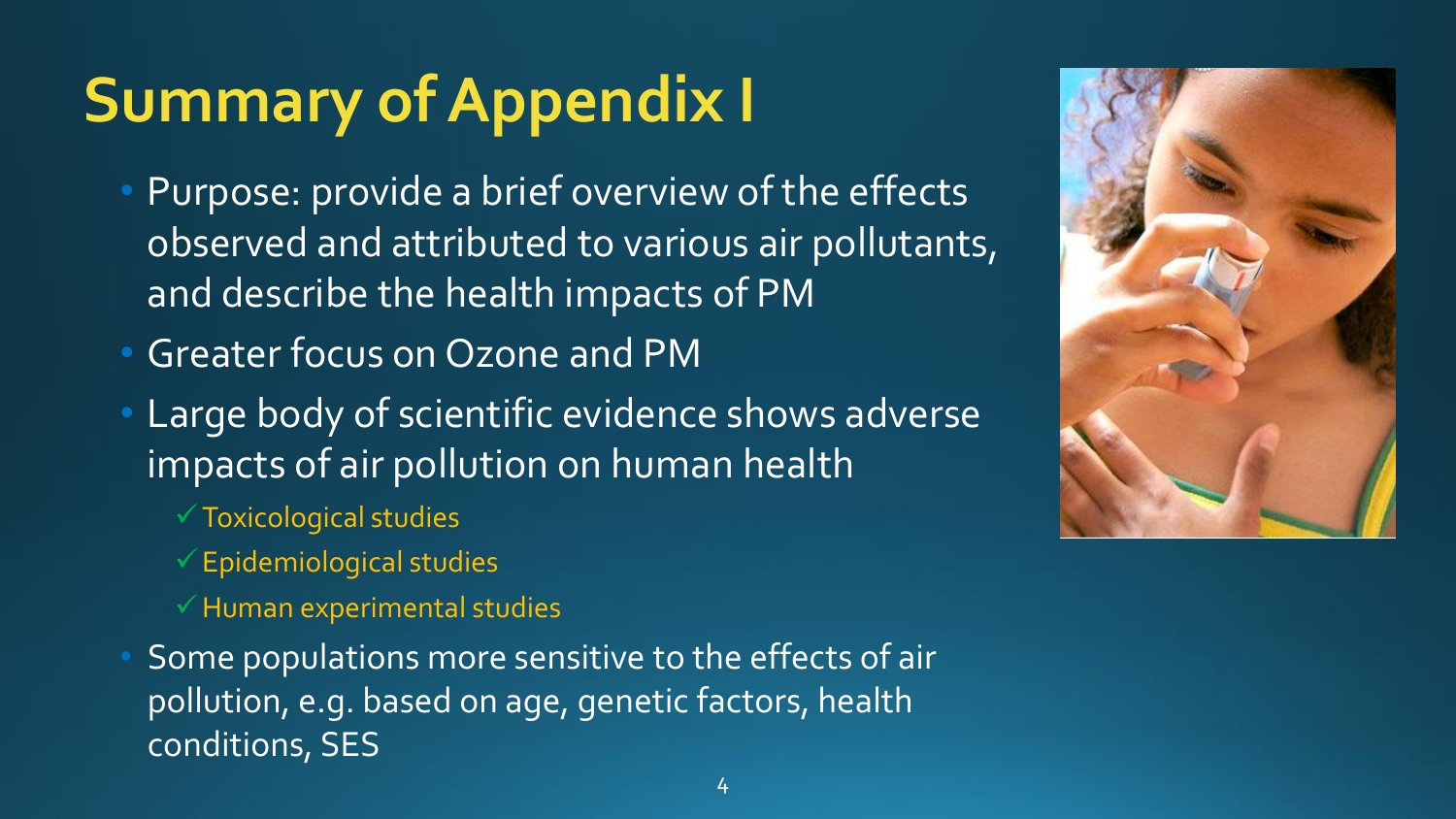### **Summary of Appendix I**

- Purpose: provide a brief overview of the effects observed and attributed to various air pollutants, and describe the health impacts of PM
- Greater focus on Ozone and PM
- Large body of scientific evidence shows adverse impacts of air pollution on human health
	- $\checkmark$  Toxicological studies
	- $\checkmark$  Epidemiological studies
	- $\checkmark$  Human experimental studies
- Some populations more sensitive to the effects of air pollution, e.g. based on age, genetic factors, health conditions, SES

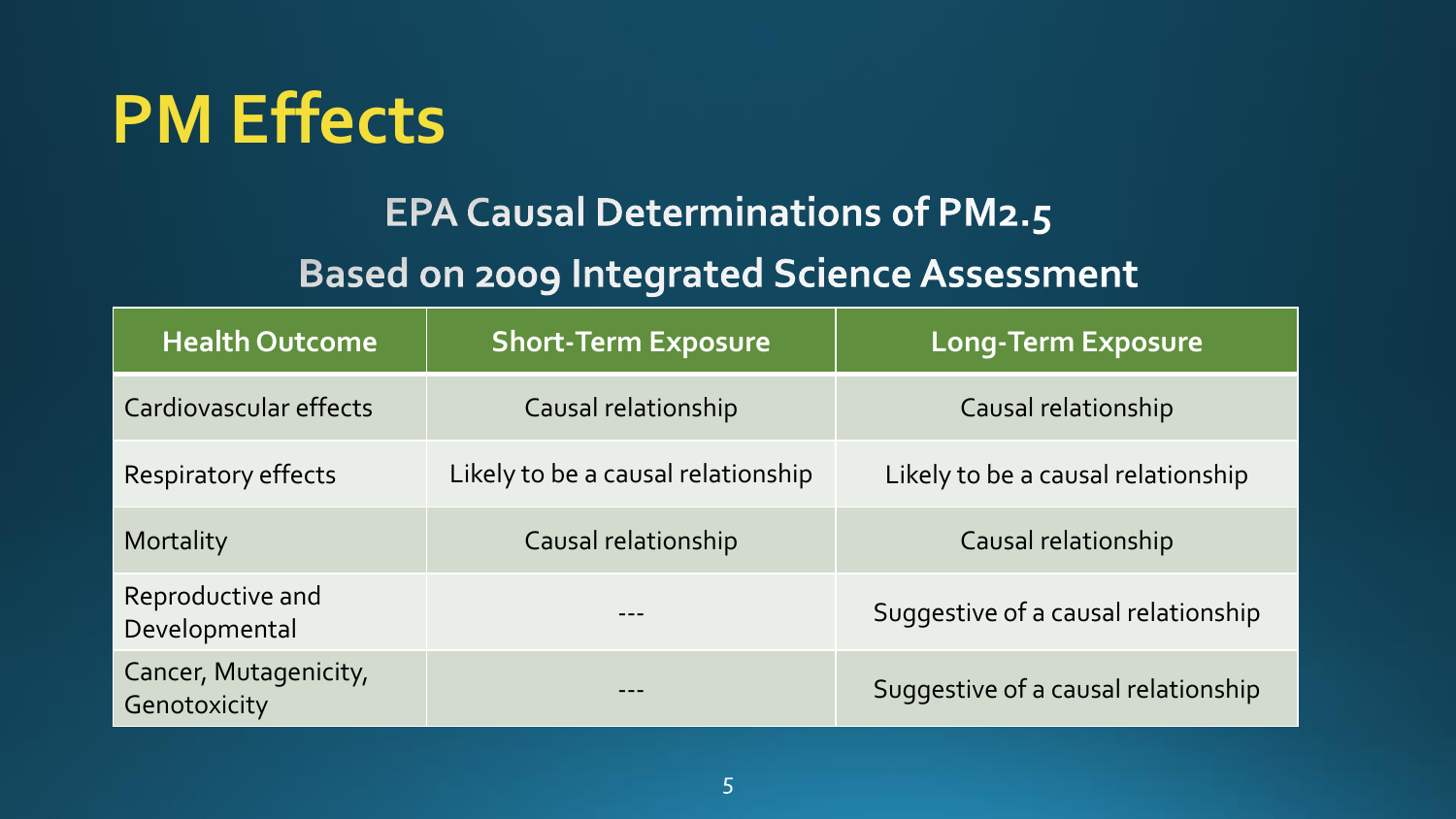

#### **EPA Causal Determinations of PM2.5**

#### **Based on 2009 Integrated Science Assessment**

| <b>Health Outcome</b>                 | <b>Short-Term Exposure</b>         | <b>Long-Term Exposure</b>           |
|---------------------------------------|------------------------------------|-------------------------------------|
| Cardiovascular effects                | Causal relationship                | Causal relationship                 |
| <b>Respiratory effects</b>            | Likely to be a causal relationship | Likely to be a causal relationship  |
| Mortality                             | Causal relationship                | Causal relationship                 |
| Reproductive and<br>Developmental     |                                    | Suggestive of a causal relationship |
| Cancer, Mutagenicity,<br>Genotoxicity |                                    | Suggestive of a causal relationship |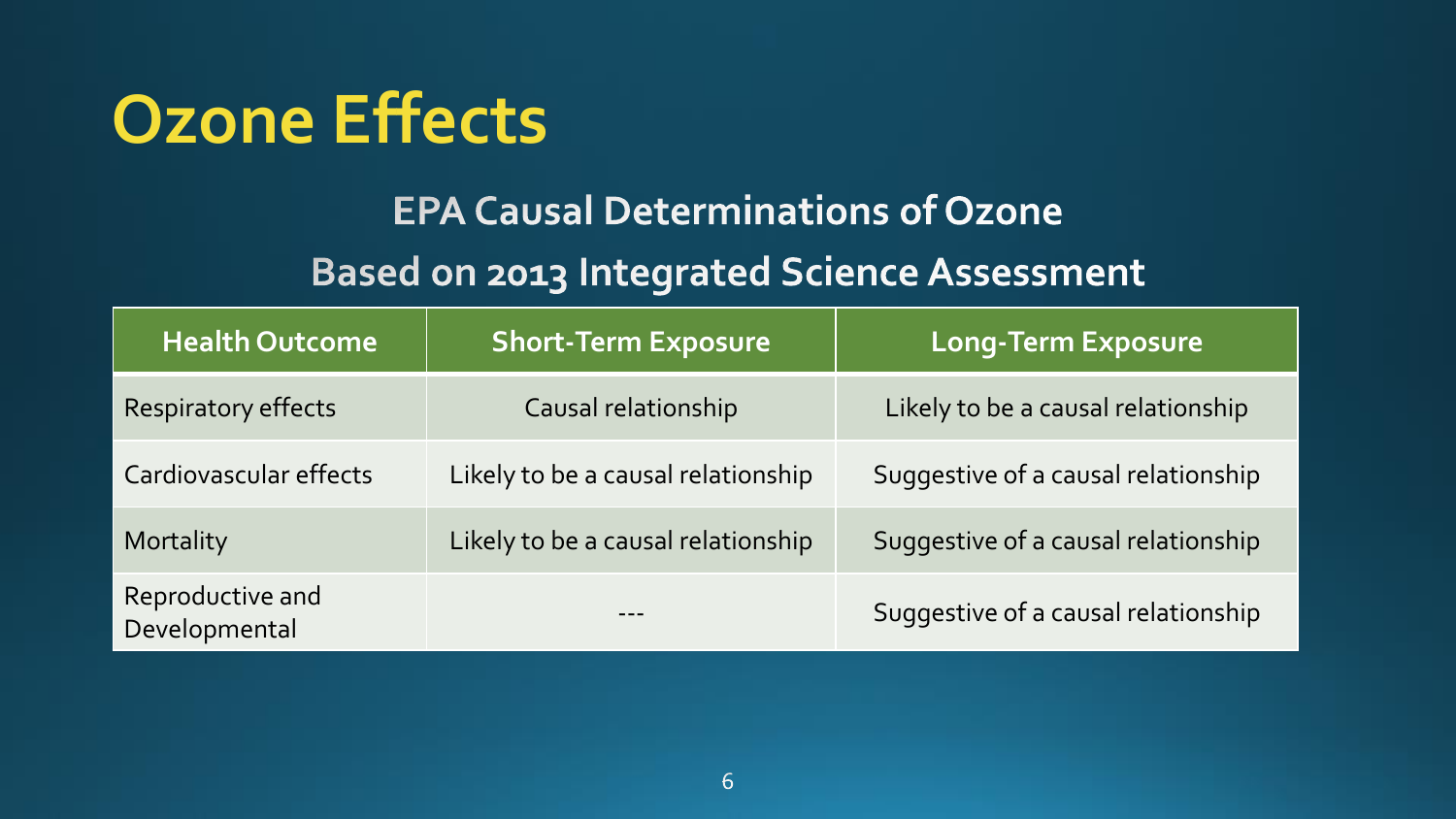### **Ozone Effects**

#### **EPA Causal Determinations of Ozone**

#### **Based on 2013 Integrated Science Assessment**

| <b>Health Outcome</b>             | <b>Short-Term Exposure</b>         | Long-Term Exposure                  |
|-----------------------------------|------------------------------------|-------------------------------------|
| <b>Respiratory effects</b>        | Causal relationship                | Likely to be a causal relationship  |
| Cardiovascular effects            | Likely to be a causal relationship | Suggestive of a causal relationship |
| Mortality                         | Likely to be a causal relationship | Suggestive of a causal relationship |
| Reproductive and<br>Developmental |                                    | Suggestive of a causal relationship |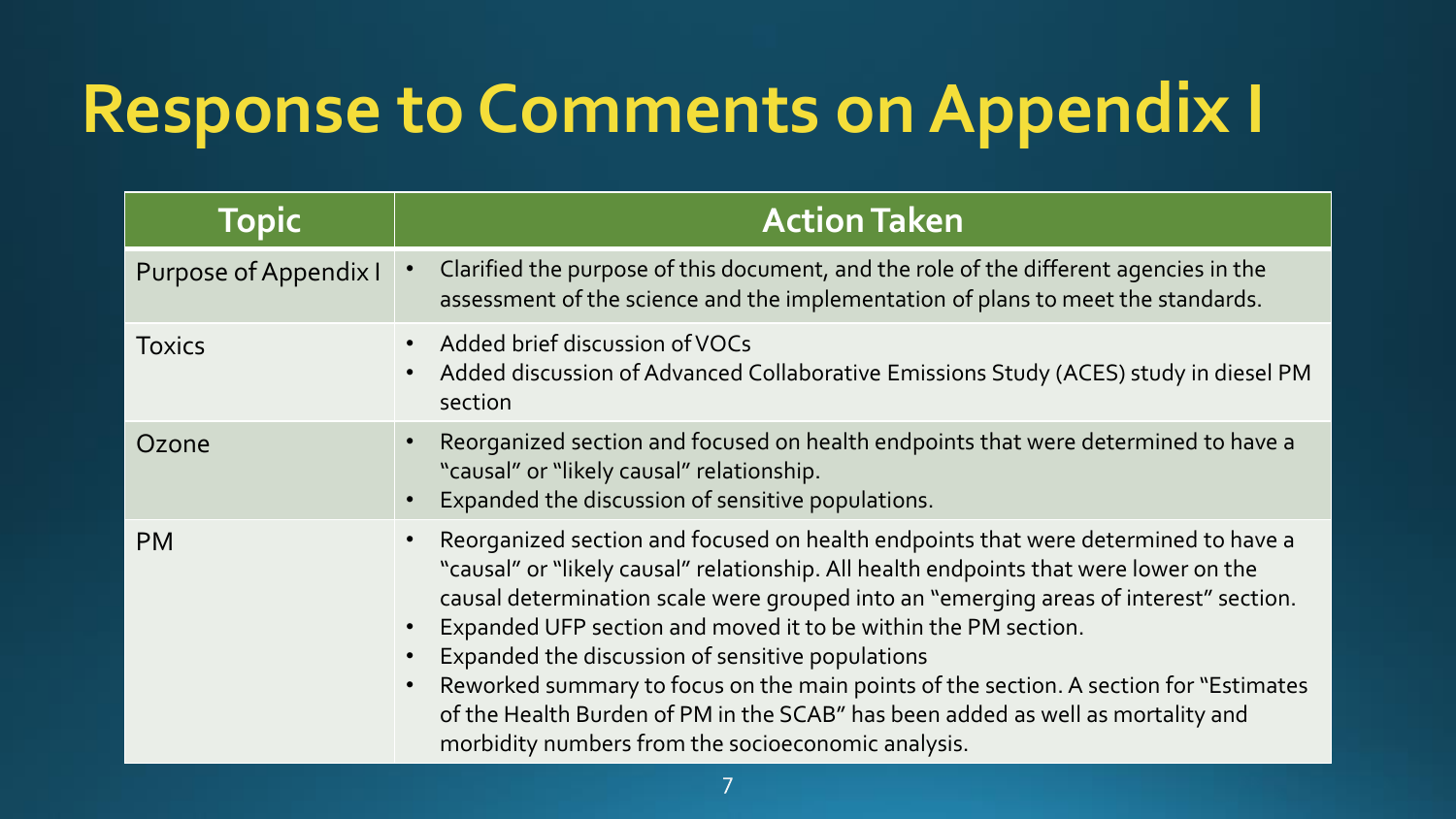## **Response to Comments on Appendix I**

| <b>Topic</b>          | <b>Action Taken</b>                                                                                                                                                                                                                                                                                                                                                                                                                                                                                                                                                                                                          |
|-----------------------|------------------------------------------------------------------------------------------------------------------------------------------------------------------------------------------------------------------------------------------------------------------------------------------------------------------------------------------------------------------------------------------------------------------------------------------------------------------------------------------------------------------------------------------------------------------------------------------------------------------------------|
| Purpose of Appendix I | Clarified the purpose of this document, and the role of the different agencies in the<br>assessment of the science and the implementation of plans to meet the standards.                                                                                                                                                                                                                                                                                                                                                                                                                                                    |
| <b>Toxics</b>         | Added brief discussion of VOCs<br>Added discussion of Advanced Collaborative Emissions Study (ACES) study in diesel PM<br>section                                                                                                                                                                                                                                                                                                                                                                                                                                                                                            |
| Ozone                 | Reorganized section and focused on health endpoints that were determined to have a<br>"causal" or "likely causal" relationship.<br>Expanded the discussion of sensitive populations.                                                                                                                                                                                                                                                                                                                                                                                                                                         |
| <b>PM</b>             | Reorganized section and focused on health endpoints that were determined to have a<br>"causal" or "likely causal" relationship. All health endpoints that were lower on the<br>causal determination scale were grouped into an "emerging areas of interest" section.<br>Expanded UFP section and moved it to be within the PM section.<br>Expanded the discussion of sensitive populations<br>Reworked summary to focus on the main points of the section. A section for "Estimates<br>of the Health Burden of PM in the SCAB" has been added as well as mortality and<br>morbidity numbers from the socioeconomic analysis. |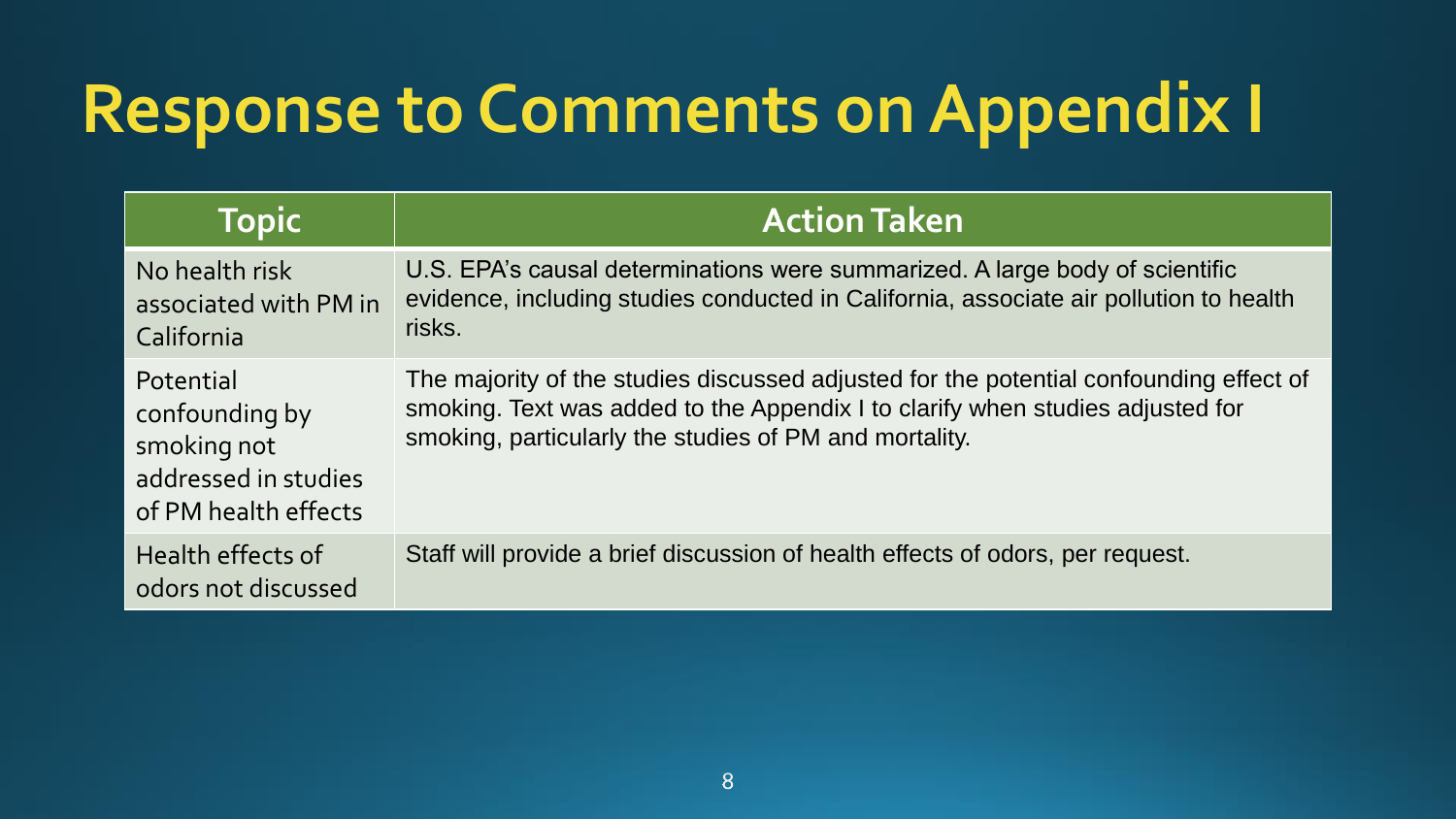## **Response to Comments on Appendix I**

| <b>Topic</b>                                                                               | <b>Action Taken</b>                                                                                                                                                                                                                |
|--------------------------------------------------------------------------------------------|------------------------------------------------------------------------------------------------------------------------------------------------------------------------------------------------------------------------------------|
| No health risk<br>associated with PM in<br>California                                      | U.S. EPA's causal determinations were summarized. A large body of scientific<br>evidence, including studies conducted in California, associate air pollution to health<br>risks.                                                   |
| Potential<br>confounding by<br>smoking not<br>addressed in studies<br>of PM health effects | The majority of the studies discussed adjusted for the potential confounding effect of<br>smoking. Text was added to the Appendix I to clarify when studies adjusted for<br>smoking, particularly the studies of PM and mortality. |
| Health effects of<br>odors not discussed                                                   | Staff will provide a brief discussion of health effects of odors, per request.                                                                                                                                                     |